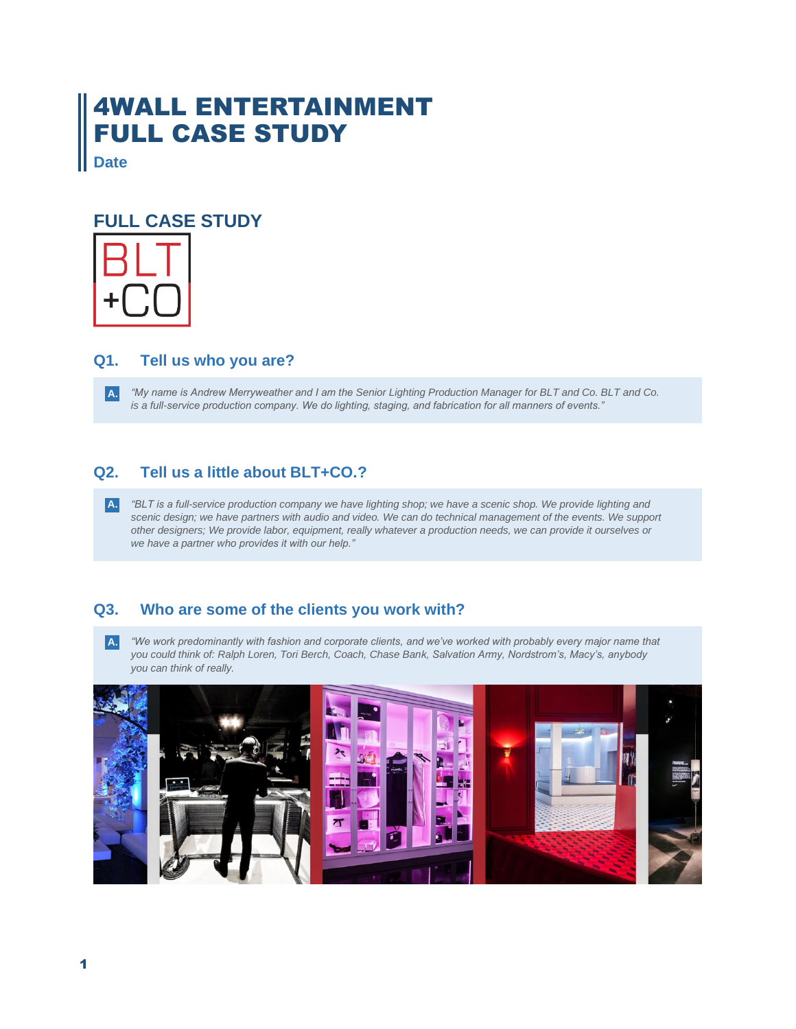# 4WALL ENTERTAINMENT FULL CASE STUDY

**Date**

## **FULL CASE STUDY**



## **Q1. Tell us who you are?**

*"My name is Andrew Merryweather and I am the Senior Lighting Production Manager for BLT and Co. BLT and Co. is a full-service production company. We do lighting, staging, and fabrication for all manners of events."* **A.**

## **Q2. Tell us a little about BLT+CO.?**

*"BLT is a full-service production company we have lighting shop; we have a scenic shop. We provide lighting and scenic design; we have partners with audio and video. We can do technical management of the events. We support other designers; We provide labor, equipment, really whatever a production needs, we can provide it ourselves or we have a partner who provides it with our help."* **A.**

## **Q3. Who are some of the clients you work with?**

*"We work predominantly with fashion and corporate clients, and we've worked with probably every major name that you could think of: Ralph Loren, Tori Berch, Coach, Chase Bank, Salvation Army, Nordstrom's, Macy's, anybody you can think of really.*  **A.**

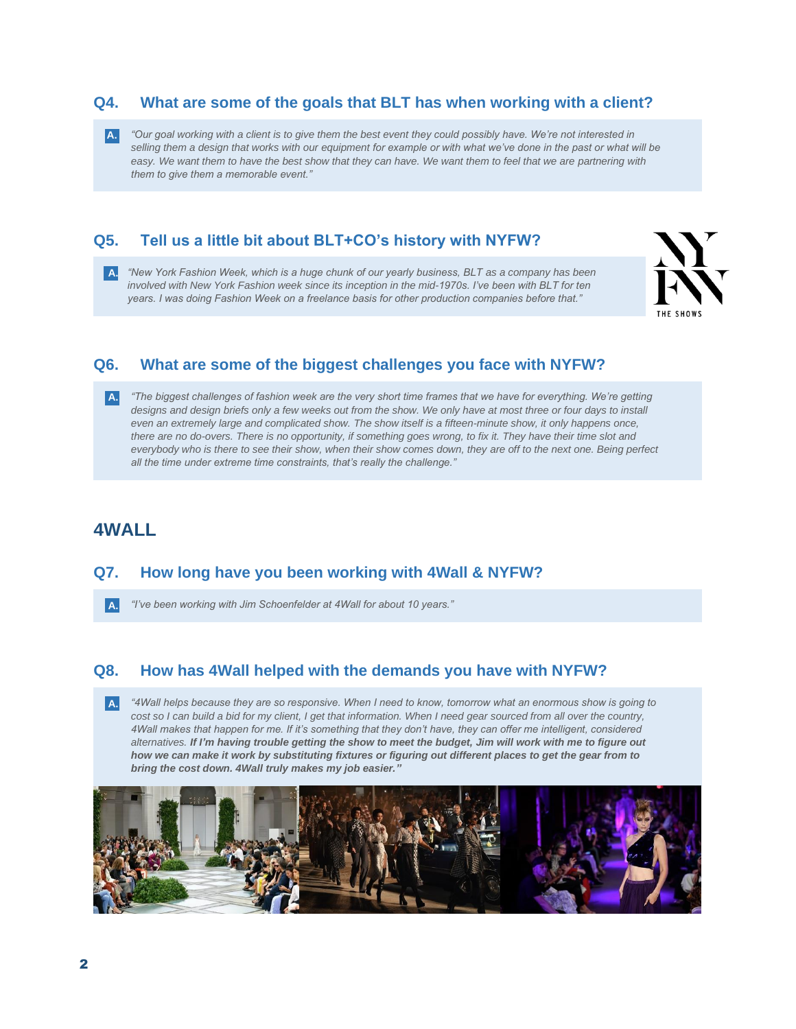### **Q4. What are some of the goals that BLT has when working with a client?**

*"Our goal working with a client is to give them the best event they could possibly have. We're not interested in*  **A.** *selling them a design that works with our equipment for example or with what we've done in the past or what will be*  easy. We want them to have the best show that they can have. We want them to feel that we are partnering with *them to give them a memorable event."*

## **Q5. Tell us a little bit about BLT+CO's history with NYFW?**

*"New York Fashion Week, which is a huge chunk of our yearly business, BLT as a company has been*  **A.** *involved with New York Fashion week since its inception in the mid-1970s. I've been with BLT for ten years. I was doing Fashion Week on a freelance basis for other production companies before that."*



## **Q6. What are some of the biggest challenges you face with NYFW?**

*"The biggest challenges of fashion week are the very short time frames that we have for everything. We're getting*  **A.** *designs and design briefs only a few weeks out from the show. We only have at most three or four days to install even an extremely large and complicated show. The show itself is a fifteen-minute show, it only happens once, there are no do-overs. There is no opportunity, if something goes wrong, to fix it. They have their time slot and everybody who is there to see their show, when their show comes down, they are off to the next one. Being perfect all the time under extreme time constraints, that's really the challenge."*

## **4WALL**

#### **Q7. How long have you been working with 4Wall & NYFW?**

*"I've been working with Jim Schoenfelder at 4Wall for about 10 years."* **A.**

#### **Q8. How has 4Wall helped with the demands you have with NYFW?**

*"4Wall helps because they are so responsive. When I need to know, tomorrow what an enormous show is going to*  **A.***cost so I can build a bid for my client, I get that information. When I need gear sourced from all over the country, 4Wall makes that happen for me. If it's something that they don't have, they can offer me intelligent, considered alternatives. If I'm having trouble getting the show to meet the budget, Jim will work with me to figure out how we can make it work by substituting fixtures or figuring out different places to get the gear from to bring the cost down. 4Wall truly makes my job easier."*

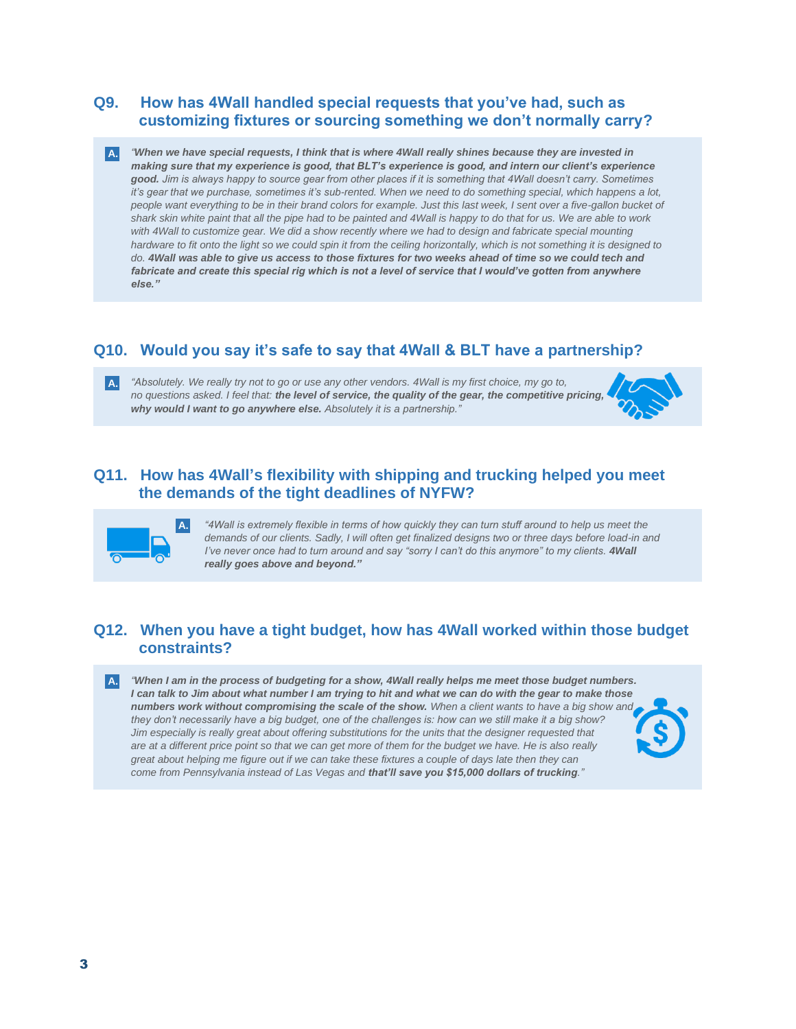### **Q9. How has 4Wall handled special requests that you've had, such as customizing fixtures or sourcing something we don't normally carry?**

*"When we have special requests, I think that is where 4Wall really shines because they are invested in*  **A.** *making sure that my experience is good, that BLT's experience is good, and intern our client's experience good. Jim is always happy to source gear from other places if it is something that 4Wall doesn't carry. Sometimes it's gear that we purchase, sometimes it's sub-rented. When we need to do something special, which happens a lot, people want everything to be in their brand colors for example. Just this last week, I sent over a five-gallon bucket of shark skin white paint that all the pipe had to be painted and 4Wall is happy to do that for us. We are able to work*  with 4Wall to customize gear. We did a show recently where we had to design and fabricate special mounting *hardware to fit onto the light so we could spin it from the ceiling horizontally, which is not something it is designed to do. 4Wall was able to give us access to those fixtures for two weeks ahead of time so we could tech and*  fabricate and create this special rig which is not a level of service that I would've gotten from anywhere *else."*

## **Q10. Would you say it's safe to say that 4Wall & BLT have a partnership?**

*"Absolutely. We really try not to go or use any other vendors. 4Wall is my first choice, my go to, no questions asked. I feel that: the level of service, the quality of the gear, the competitive pricing, why would I want to go anywhere else. Absolutely it is a partnership."* **A.**



## **Q11. How has 4Wall's flexibility with shipping and trucking helped you meet the demands of the tight deadlines of NYFW?**



*"4Wall is extremely flexible in terms of how quickly they can turn stuff around to help us meet the demands of our clients. Sadly, I will often get finalized designs two or three days before load-in and I've never once had to turn around and say "sorry I can't do this anymore" to my clients. 4Wall really goes above and beyond."*

## **Q12. When you have a tight budget, how has 4Wall worked within those budget constraints?**

*"When I am in the process of budgeting for a show, 4Wall really helps me meet those budget numbers. I can talk to Jim about what number I am trying to hit and what we can do with the gear to make those numbers work without compromising the scale of the show. When a client wants to have a big show and they don't necessarily have a big budget, one of the challenges is: how can we still make it a big show? Jim especially is really great about offering substitutions for the units that the designer requested that are at a different price point so that we can get more of them for the budget we have. He is also really great about helping me figure out if we can take these fixtures a couple of days late then they can come from Pennsylvania instead of Las Vegas and that'll save you \$15,000 dollars of trucking."* **A.**

3